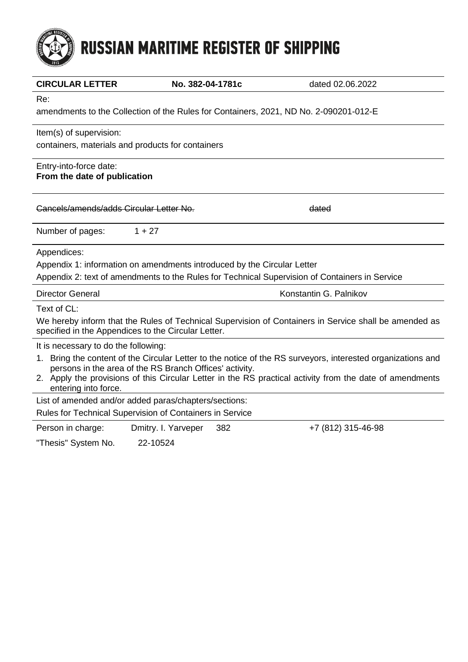# **RUSSIAN MARITIME REGISTER OF SHIPPING**

| <b>CIRCULAR LETTER</b>                                                                                                                                                 | No. 382-04-1781c                                                                      |     | dated 02.06.2022       |  |  |
|------------------------------------------------------------------------------------------------------------------------------------------------------------------------|---------------------------------------------------------------------------------------|-----|------------------------|--|--|
| Re:                                                                                                                                                                    |                                                                                       |     |                        |  |  |
|                                                                                                                                                                        | amendments to the Collection of the Rules for Containers, 2021, ND No. 2-090201-012-E |     |                        |  |  |
| Item(s) of supervision:                                                                                                                                                |                                                                                       |     |                        |  |  |
| containers, materials and products for containers                                                                                                                      |                                                                                       |     |                        |  |  |
| Entry-into-force date:                                                                                                                                                 |                                                                                       |     |                        |  |  |
| From the date of publication                                                                                                                                           |                                                                                       |     |                        |  |  |
| Cancels/amends/adds Circular Letter No.                                                                                                                                |                                                                                       |     | dated                  |  |  |
|                                                                                                                                                                        |                                                                                       |     |                        |  |  |
| Number of pages:                                                                                                                                                       | $1 + 27$                                                                              |     |                        |  |  |
| Appendices:                                                                                                                                                            |                                                                                       |     |                        |  |  |
| Appendix 1: information on amendments introduced by the Circular Letter                                                                                                |                                                                                       |     |                        |  |  |
| Appendix 2: text of amendments to the Rules for Technical Supervision of Containers in Service                                                                         |                                                                                       |     |                        |  |  |
| <b>Director General</b>                                                                                                                                                |                                                                                       |     | Konstantin G. Palnikov |  |  |
| Text of CL:                                                                                                                                                            |                                                                                       |     |                        |  |  |
| We hereby inform that the Rules of Technical Supervision of Containers in Service shall be amended as<br>specified in the Appendices to the Circular Letter.           |                                                                                       |     |                        |  |  |
| It is necessary to do the following:                                                                                                                                   |                                                                                       |     |                        |  |  |
| 1. Bring the content of the Circular Letter to the notice of the RS surveyors, interested organizations and<br>persons in the area of the RS Branch Offices' activity. |                                                                                       |     |                        |  |  |
| 2. Apply the provisions of this Circular Letter in the RS practical activity from the date of amendments<br>entering into force.                                       |                                                                                       |     |                        |  |  |
| List of amended and/or added paras/chapters/sections:                                                                                                                  |                                                                                       |     |                        |  |  |
| Rules for Technical Supervision of Containers in Service                                                                                                               |                                                                                       |     |                        |  |  |
| Person in charge:                                                                                                                                                      | Dmitry. I. Yarveper                                                                   | 382 | +7 (812) 315-46-98     |  |  |

"Thesis" System No. 22-10524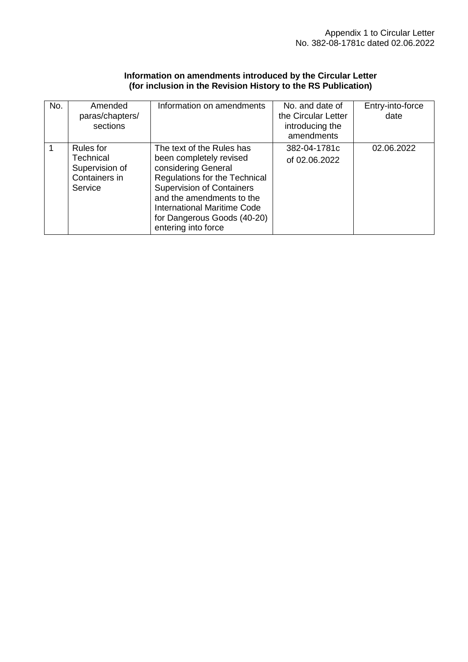## **Information on amendments introduced by the Circular Letter (for inclusion in the Revision History to the RS Publication)**

| No. | Amended<br>paras/chapters/<br>sections                                      | Information on amendments                                                                                                                                                                                                                                                 | No. and date of<br>the Circular Letter<br>introducing the<br>amendments | Entry-into-force<br>date |
|-----|-----------------------------------------------------------------------------|---------------------------------------------------------------------------------------------------------------------------------------------------------------------------------------------------------------------------------------------------------------------------|-------------------------------------------------------------------------|--------------------------|
|     | <b>Rules</b> for<br>Technical<br>Supervision of<br>Containers in<br>Service | The text of the Rules has<br>been completely revised<br>considering General<br><b>Regulations for the Technical</b><br><b>Supervision of Containers</b><br>and the amendments to the<br>International Maritime Code<br>for Dangerous Goods (40-20)<br>entering into force | 382-04-1781c<br>of 02.06.2022                                           | 02.06.2022               |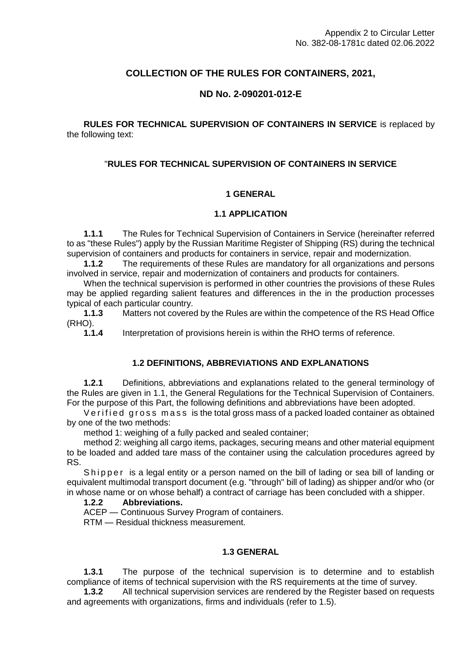## **COLLECTION OF THE RULES FOR CONTAINERS, 2021,**

## **ND No. 2-090201-012-E**

**RULES FOR TECHNICAL SUPERVISION OF CONTAINERS IN SERVICE** is replaced by the following text:

#### "**RULES FOR TECHNICAL SUPERVISION OF CONTAINERS IN SERVICE**

## **1 GENERAL**

#### **1.1 APPLICATION**

**1.1.1** The Rules for Technical Supervision of Containers in Service (hereinafter referred to as "these Rules") apply by the Russian Maritime Register of Shipping (RS) during the technical supervision of containers and products for containers in service, repair and modernization.

**1.1.2** The requirements of these Rules are mandatory for all organizations and persons involved in service, repair and modernization of containers and products for containers.

When the technical supervision is performed in other countries the provisions of these Rules may be applied regarding salient features and differences in the in the production processes typical of each particular country.

**1.1.3** Matters not covered by the Rules are within the competence of the RS Head Office (RHO).

**1.1.4** Interpretation of provisions herein is within the RHO terms of reference.

#### **1.2 DEFINITIONS, ABBREVIATIONS AND EXPLANATIONS**

**1.2.1** Definitions, abbreviations and explanations related to the general terminology of the Rules are given in 1.1, the General Regulations for the Technical Supervision of Containers. For the purpose of this Part, the following definitions and abbreviations have been adopted.

V e rified g ross mass is the total gross mass of a packed loaded container as obtained by one of the two methods:

method 1: weighing of a fully packed and sealed container;

method 2: weighing all cargo items, packages, securing means and other material equipment to be loaded and added tare mass of the container using the calculation procedures agreed by RS.

Shipper is a legal entity or a person named on the bill of lading or sea bill of landing or equivalent multimodal transport document (e.g. "through" bill of lading) as shipper and/or who (or in whose name or on whose behalf) a contract of carriage has been concluded with a shipper.

#### **1.2.2 Abbreviations.**

ACEP — Continuous Survey Program of containers.

RTM — Residual thickness measurement.

#### **1.3 GENERAL**

**1.3.1** The purpose of the technical supervision is to determine and to establish compliance of items of technical supervision with the RS requirements at the time of survey.

**1.3.2** All technical supervision services are rendered by the Register based on requests and agreements with organizations, firms and individuals (refer to 1.5).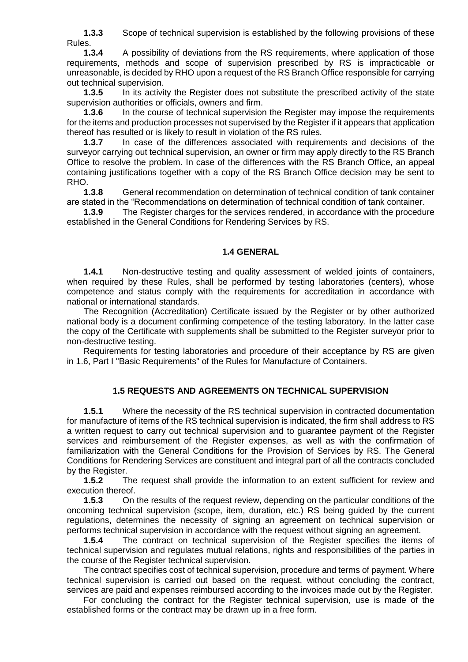**1.3.3** Scope of technical supervision is established by the following provisions of these Rules.

**1.3.4** A possibility of deviations from the RS requirements, where application of those requirements, methods and scope of supervision prescribed by RS is impracticable or unreasonable, is decided by RHO upon a request of the RS Branch Office responsible for carrying out technical supervision.

**1.3.5** In its activity the Register does not substitute the prescribed activity of the state supervision authorities or officials, owners and firm.

**1.3.6** In the course of technical supervision the Register may impose the requirements for the items and production processes not supervised by the Register if it appears that application thereof has resulted or is likely to result in violation of the RS rules.

**1.3.7** In case of the differences associated with requirements and decisions of the surveyor carrying out technical supervision, an owner or firm may apply directly to the RS Branch Office to resolve the problem. In case of the differences with the RS Branch Office, an appeal containing justifications together with a copy of the RS Branch Office decision may be sent to RHO.

**1.3.8** General recommendation on determination of technical condition of tank container are stated in the "Recommendations on determination of technical condition of tank container.

**1.3.9** The Register charges for the services rendered, in accordance with the procedure established in the General Conditions for Rendering Services by RS.

#### **1.4 GENERAL**

**1.4.1** Non-destructive testing and quality assessment of welded joints of containers, when required by these Rules, shall be performed by testing laboratories (centers), whose competence and status comply with the requirements for accreditation in accordance with national or international standards.

The Recognition (Accreditation) Certificate issued by the Register or by other authorized national body is a document confirming competence of the testing laboratory. In the latter case the copy of the Certificate with supplements shall be submitted to the Register surveyor prior to non-destructive testing.

Requirements for testing laboratories and procedure of their acceptance by RS are given in 1.6, Part I "Basic Requirements" of the Rules for Manufacture of Containers.

## **1.5 REQUESTS AND AGREEMENTS ON TECHNICAL SUPERVISION**

**1.5.1** Where the necessity of the RS technical supervision in contracted documentation for manufacture of items of the RS technical supervision is indicated, the firm shall address to RS a written request to carry out technical supervision and to guarantee payment of the Register services and reimbursement of the Register expenses, as well as with the confirmation of familiarization with the General Conditions for the Provision of Services by RS. The General Conditions for Rendering Services are constituent and integral part of all the contracts concluded by the Register.

**1.5.2** The request shall provide the information to an extent sufficient for review and execution thereof.

**1.5.3** On the results of the request review, depending on the particular conditions of the oncoming technical supervision (scope, item, duration, etc.) RS being guided by the current regulations, determines the necessity of signing an agreement on technical supervision or performs technical supervision in accordance with the request without signing an agreement.

**1.5.4** The contract on technical supervision of the Register specifies the items of technical supervision and regulates mutual relations, rights and responsibilities of the parties in the course of the Register technical supervision.

The contract specifies cost of technical supervision, procedure and terms of payment. Where technical supervision is carried out based on the request, without concluding the contract, services are paid and expenses reimbursed according to the invoices made out by the Register.

For concluding the contract for the Register technical supervision, use is made of the established forms or the contract may be drawn up in a free form.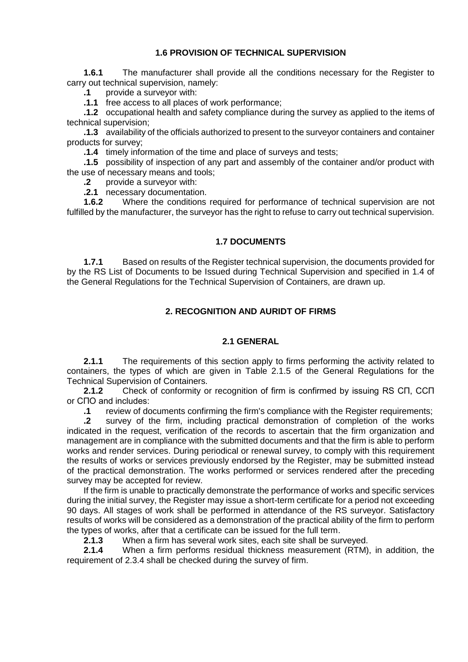## **1.6 PROVISION OF TECHNICAL SUPERVISION**

**1.6.1** The manufacturer shall provide all the conditions necessary for the Register to carry out technical supervision, namely:

**.1** provide a surveyor with:

**.1.1** free access to all places of work performance;

**.1.2** occupational health and safety compliance during the survey as applied to the items of technical supervision;

**.1.3** availability of the officials authorized to present to the surveyor containers and container products for survey;

**.1.4** timely information of the time and place of surveys and tests;

**.1.5** possibility of inspection of any part and assembly of the container and/or product with the use of necessary means and tools;

**.2** provide a surveyor with:

**.2.1** necessary documentation.

**1.6.2** Where the conditions required for performance of technical supervision are not fulfilled by the manufacturer, the surveyor has the right to refuse to carry out technical supervision.

## **1.7 DOCUMENTS**

**1.7.1** Based on results of the Register technical supervision, the documents provided for by the RS List of Documents to be Issued during Technical Supervision and specified in 1.4 of the General Regulations for the Technical Supervision of Containers, are drawn up.

## **2. RECOGNITION AND AURIDT OF FIRMS**

## **2.1 GENERAL**

**2.1.1** The requirements of this section apply to firms performing the activity related to containers, the types of which are given in Table 2.1.5 of the General Regulations for the Technical Supervision of Containers.

**2.1.2** Check of conformity or recognition of firm is confirmed by issuing RS СП, ССП or СПО and includes:

**.1** review of documents confirming the firm's compliance with the Register requirements;

**.2** survey of the firm, including practical demonstration of completion of the works indicated in the request, verification of the records to ascertain that the firm organization and management are in compliance with the submitted documents and that the firm is able to perform works and render services. During periodical or renewal survey, to comply with this requirement the results of works or services previously endorsed by the Register, may be submitted instead of the practical demonstration. The works performed or services rendered after the preceding survey may be accepted for review.

If the firm is unable to practically demonstrate the performance of works and specific services during the initial survey, the Register may issue a short-term certificate for a period not exceeding 90 days. All stages of work shall be performed in attendance of the RS surveyor. Satisfactory results of works will be considered as a demonstration of the practical ability of the firm to perform the types of works, after that a certificate can be issued for the full term.

**2.1.3** When a firm has several work sites, each site shall be surveyed.

**2.1.4** When a firm performs residual thickness measurement (RTM), in addition, the requirement of 2.3.4 shall be checked during the survey of firm.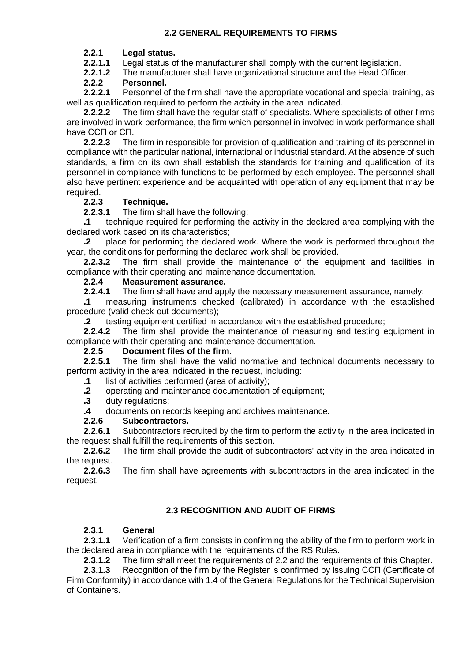## **2.2.1 Legal status.**

**2.2.1.1** Legal status of the manufacturer shall comply with the current legislation.

**2.2.1.2** The manufacturer shall have organizational structure and the Head Officer.<br>**2.2.2** Personnel.

## **2.2.2 Personnel.**

**2.2.2.1** Personnel of the firm shall have the appropriate vocational and special training, as well as qualification required to perform the activity in the area indicated.

**2.2.2.2** The firm shall have the regular staff of specialists. Where specialists of other firms are involved in work performance, the firm which personnel in involved in work performance shall have ССП or СП.

**2.2.2.3** The firm in responsible for provision of qualification and training of its personnel in compliance with the particular national, international or industrial standard. At the absence of such standards, a firm on its own shall establish the standards for training and qualification of its personnel in compliance with functions to be performed by each employee. The personnel shall also have pertinent experience and be acquainted with operation of any equipment that may be required.

## **2.2.3 Technique.**

**2.2.3.1** The firm shall have the following:

**.1** technique required for performing the activity in the declared area complying with the declared work based on its characteristics;

**.2** place for performing the declared work. Where the work is performed throughout the year, the conditions for performing the declared work shall be provided.

**2.2.3.2** The firm shall provide the maintenance of the equipment and facilities in compliance with their operating and maintenance documentation.

## **2.2.4 Measurement assurance.**

**2.2.4.1** The firm shall have and apply the necessary measurement assurance, namely:

**.1** measuring instruments checked (calibrated) in accordance with the established procedure (valid check-out documents);

**.2** testing equipment certified in accordance with the established procedure;

**2.2.4.2** The firm shall provide the maintenance of measuring and testing equipment in compliance with their operating and maintenance documentation.

## **2.2.5 Document files of the firm.**

**2.2.5.1** The firm shall have the valid normative and technical documents necessary to perform activity in the area indicated in the request, including:

**.1** list of activities performed (area of activity);

- **.2** operating and maintenance documentation of equipment;
- **.3** duty regulations;

**.4** documents on records keeping and archives maintenance.

## **2.2.6 Subcontractors.**

**2.2.6.1** Subcontractors recruited by the firm to perform the activity in the area indicated in the request shall fulfill the requirements of this section.

**2.2.6.2** The firm shall provide the audit of subcontractors' activity in the area indicated in the request.

**2.2.6.3** The firm shall have agreements with subcontractors in the area indicated in the request.

# **2.3 RECOGNITION AND AUDIT OF FIRMS**

## **2.3.1 General**

**2.3.1.1** Verification of a firm consists in confirming the ability of the firm to perform work in the declared area in compliance with the requirements of the RS Rules.

**2.3.1.2** The firm shall meet the requirements of 2.2 and the requirements of this Chapter.

**2.3.1.3** Recognition of the firm by the Register is confirmed by issuing ССП (Certificate of Firm Conformity) in accordance with 1.4 of the General Regulations for the Technical Supervision of Containers.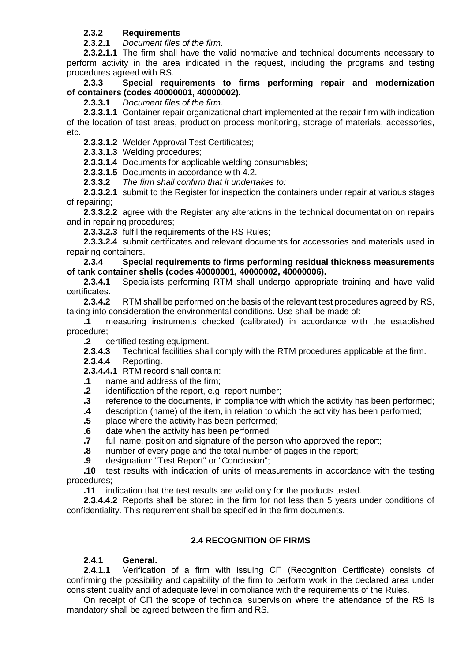## **2.3.2 Requirements**

**2.3.2.1** *Document files of the firm.*

**2.3.2.1.1** The firm shall have the valid normative and technical documents necessary to perform activity in the area indicated in the request, including the programs and testing procedures agreed with RS.

**2.3.3 Special requirements to firms performing repair and modernization of containers (codes 40000001, 40000002).**

**2.3.3.1** *Document files of the firm.*

**2.3.3.1.1** Container repair organizational chart implemented at the repair firm with indication of the location of test areas, production process monitoring, storage of materials, accessories, etc.;

**2.3.3.1.2** Welder Approval Test Certificates;

**2.3.3.1.3** Welding procedures;

**2.3.3.1.4** Documents for applicable welding consumables;

**2.3.3.1.5** Documents in accordance with 4.2.

**2.3.3.2** *The firm shall confirm that it undertakes to:*

**2.3.3.2.1** submit to the Register for inspection the containers under repair at various stages of repairing;

**2.3.3.2.2** agree with the Register any alterations in the technical documentation on repairs and in repairing procedures;

**2.3.3.2.3** fulfil the requirements of the RS Rules;

**2.3.3.2.4** submit certificates and relevant documents for accessories and materials used in repairing containers.

**2.3.4 Special requirements to firms performing residual thickness measurements of tank container shells (codes 40000001, 40000002, 40000006).**

**2.3.4.1** Specialists performing RTM shall undergo appropriate training and have valid certificates.

**2.3.4.2** RTM shall be performed on the basis of the relevant test procedures agreed by RS, taking into consideration the environmental conditions. Use shall be made of:

**.1** measuring instruments checked (calibrated) in accordance with the established procedure;

**.2** certified testing equipment.

**2.3.4.3** Technical facilities shall comply with the RTM procedures applicable at the firm.

**2.3.4.4** Reporting.

**2.3.4.4.1** RTM record shall contain:

**.1** name and address of the firm;

- **.2** identification of the report, e.g. report number;
- **.3** reference to the documents, in compliance with which the activity has been performed;
- **.4** description (name) of the item, in relation to which the activity has been performed;
- **.5** place where the activity has been performed;
- **.6** date when the activity has been performed;
- **.7** full name, position and signature of the person who approved the report;
- **.8** number of every page and the total number of pages in the report;
- **.9** designation: "Test Report" or "Conclusion";

**.10** test results with indication of units of measurements in accordance with the testing procedures;

**.11** indication that the test results are valid only for the products tested.

**2.3.4.4.2** Reports shall be stored in the firm for not less than 5 years under conditions of confidentiality. This requirement shall be specified in the firm documents.

## **2.4 RECOGNITION OF FIRMS**

## **2.4.1 General.**

**2.4.1.1** Verification of a firm with issuing СП (Recognition Certificate) consists of confirming the possibility and capability of the firm to perform work in the declared area under consistent quality and of adequate level in compliance with the requirements of the Rules.

On receipt of СП the scope of technical supervision where the attendance of the RS is mandatory shall be agreed between the firm and RS.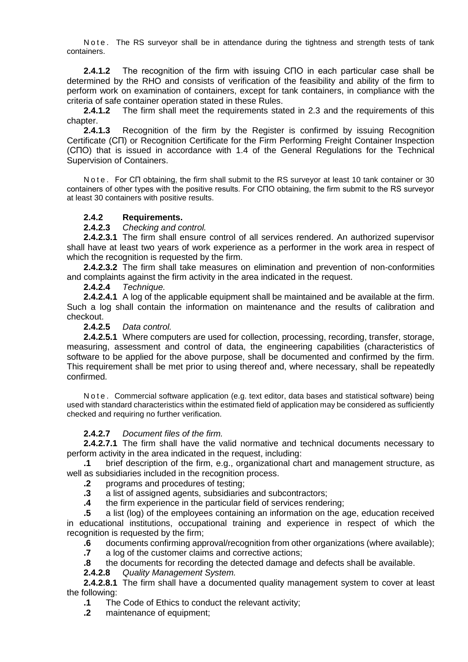N o t e. The RS surveyor shall be in attendance during the tightness and strength tests of tank containers.

**2.4.1.2** The recognition of the firm with issuing СПО in each particular case shall be determined by the RHO and consists of verification of the feasibility and ability of the firm to perform work on examination of containers, except for tank containers, in compliance with the criteria of safe container operation stated in these Rules.

**2.4.1.2** The firm shall meet the requirements stated in 2.3 and the requirements of this chapter.

**2.4.1.3** Recognition of the firm by the Register is confirmed by issuing Recognition Certificate (СП) or Recognition Certificate for the Firm Performing Freight Container Inspection (СПО) that is issued in accordance with 1.4 of the General Regulations for the Technical Supervision of Containers.

N o t e. For CI obtaining, the firm shall submit to the RS surveyor at least 10 tank container or 30 containers of other types with the positive results. For СПО obtaining, the firm submit to the RS surveyor at least 30 containers with positive results.

#### **2.4.2 Requirements.**

**2.4.2.3** *Checking and control.*

**2.4.2.3.1** The firm shall ensure control of all services rendered. An authorized supervisor shall have at least two years of work experience as a performer in the work area in respect of which the recognition is requested by the firm.

**2.4.2.3.2** The firm shall take measures on elimination and prevention of non-conformities and complaints against the firm activity in the area indicated in the request.

**2.4.2.4** *Technique.*

**2.4.2.4.1** A log of the applicable equipment shall be maintained and be available at the firm. Such a log shall contain the information on maintenance and the results of calibration and checkout.

**2.4.2.5** *Data control.*

**2.4.2.5.1** Where computers are used for collection, processing, recording, transfer, storage, measuring, assessment and control of data, the engineering capabilities (characteristics of software to be applied for the above purpose, shall be documented and confirmed by the firm. This requirement shall be met prior to using thereof and, where necessary, shall be repeatedly confirmed.

N o t e . Commercial software application (e.g. text editor, data bases and statistical software) being used with standard characteristics within the estimated field of application may be considered as sufficiently checked and requiring no further verification.

## **2.4.2.7** *Document files of the firm.*

**2.4.2.7.1** The firm shall have the valid normative and technical documents necessary to perform activity in the area indicated in the request, including:

**.1** brief description of the firm, e.g., organizational chart and management structure, as well as subsidiaries included in the recognition process.

- **.2** programs and procedures of testing;
- **.3** a list of assigned agents, subsidiaries and subcontractors;
- **.4** the firm experience in the particular field of services rendering;

**.5** a list (log) of the employees containing an information on the age, education received in educational institutions, occupational training and experience in respect of which the recognition is requested by the firm;

**.6** documents confirming approval/recognition from other organizations (where available);

- **.7** a log of the customer claims and corrective actions;
- **.8** the documents for recording the detected damage and defects shall be available.

**2.4.2.8** *Quality Management System.*

**2.4.2.8.1** The firm shall have a documented quality management system to cover at least the following:

- **.1** The Code of Ethics to conduct the relevant activity;
- **.2** maintenance of equipment;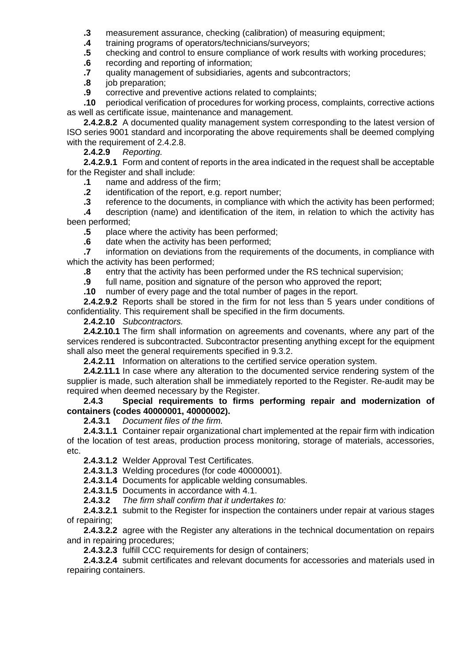- **.3** measurement assurance, checking (calibration) of measuring equipment;
- **.4** training programs of operators/technicians/surveyors;
- **.5** checking and control to ensure compliance of work results with working procedures;
- **.6** recording and reporting of information;
- **.7** quality management of subsidiaries, agents and subcontractors;
- **.8** job preparation;

**.9** corrective and preventive actions related to complaints;

**.10** periodical verification of procedures for working process, complaints, corrective actions as well as certificate issue, maintenance and management.

**2.4.2.8.2** A documented quality management system corresponding to the latest version of ISO series 9001 standard and incorporating the above requirements shall be deemed complying with the requirement of 2.4.2.8.

**2.4.2.9** *Reporting.*

**2.4.2.9.1** Form and content of reports in the area indicated in the request shall be acceptable for the Register and shall include:

**.1** name and address of the firm;

- **.2** identification of the report, e.g. report number;
- **.3** reference to the documents, in compliance with which the activity has been performed;

**.4** description (name) and identification of the item, in relation to which the activity has been performed;

- **.5** place where the activity has been performed;
- **.6** date when the activity has been performed;

**.7** information on deviations from the requirements of the documents, in compliance with which the activity has been performed;

- **.8** entry that the activity has been performed under the RS technical supervision;
- **.9** full name, position and signature of the person who approved the report;
- **.10** number of every page and the total number of pages in the report.

**2.4.2.9.2** Reports shall be stored in the firm for not less than 5 years under conditions of confidentiality. This requirement shall be specified in the firm documents.

## **2.4.2.10** *Subcontractors.*

**2.4.2.10.1** The firm shall information on agreements and covenants, where any part of the services rendered is subcontracted. Subcontractor presenting anything except for the equipment shall also meet the general requirements specified in 9.3.2.

**2.4.2.11** Information on alterations to the certified service operation system.

**2.4.2.11.1** In case where any alteration to the documented service rendering system of the supplier is made, such alteration shall be immediately reported to the Register. Re-audit may be required when deemed necessary by the Register.

## **2.4.3 Special requirements to firms performing repair and modernization of containers (codes 40000001, 40000002).**

**2.4.3.1** *Document files of the firm.*

**2.4.3.1.1** Container repair organizational chart implemented at the repair firm with indication of the location of test areas, production process monitoring, storage of materials, accessories, etc.

**2.4.3.1.2** Welder Approval Test Certificates.

**2.4.3.1.3** Welding procedures (for code 40000001).

**2.4.3.1.4** Documents for applicable welding consumables.

**2.4.3.1.5** Documents in accordance with 4.1.

**2.4.3.2** *The firm shall confirm that it undertakes to:*

**2.4.3.2.1** submit to the Register for inspection the containers under repair at various stages of repairing;

**2.4.3.2.2** agree with the Register any alterations in the technical documentation on repairs and in repairing procedures;

**2.4.3.2.3** fulfill CCC requirements for design of containers;

**2.4.3.2.4** submit certificates and relevant documents for accessories and materials used in repairing containers.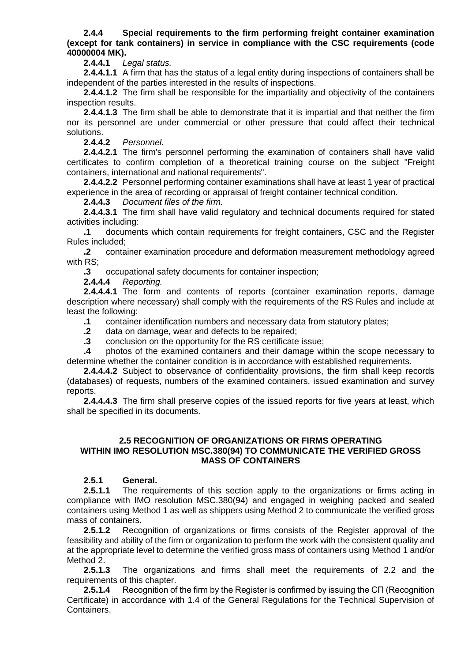#### **2.4.4 Special requirements to the firm performing freight container examination (except for tank containers) in service in compliance with the CSC requirements (code 40000004 MK).**

**2.4.4.1** *Legal status.*

**2.4.4.1.1** A firm that has the status of a legal entity during inspections of containers shall be independent of the parties interested in the results of inspections.

**2.4.4.1.2** The firm shall be responsible for the impartiality and objectivity of the containers inspection results.

**2.4.4.1.3** The firm shall be able to demonstrate that it is impartial and that neither the firm nor its personnel are under commercial or other pressure that could affect their technical solutions.

**2.4.4.2** *Personnel.*

**2.4.4.2.1** The firm's personnel performing the examination of containers shall have valid certificates to confirm completion of a theoretical training course on the subject "Freight containers, international and national requirements".

**2.4.4.2.2** Personnel performing container examinations shall have at least 1 year of practical experience in the area of recording or appraisal of freight container technical condition.

**2.4.4.3** *Document files of the firm.*

**2.4.4.3.1** The firm shall have valid regulatory and technical documents required for stated activities including:

**.1** documents which contain requirements for freight containers, CSC and the Register Rules included;

**.2** container examination procedure and deformation measurement methodology agreed with RS;

**.3** occupational safety documents for container inspection;

**2.4.4.4** *Reporting.*

**2.4.4.4.1** The form and contents of reports (container examination reports, damage description where necessary) shall comply with the requirements of the RS Rules and include at least the following:

**.1** container identification numbers and necessary data from statutory plates;

**.2** data on damage, wear and defects to be repaired;

**.3** conclusion on the opportunity for the RS certificate issue;

**.4** photos of the examined containers and their damage within the scope necessary to determine whether the container condition is in accordance with established requirements.

**2.4.4.4.2** Subject to observance of confidentiality provisions, the firm shall keep records (databases) of requests, numbers of the examined containers, issued examination and survey reports.

**2.4.4.4.3** The firm shall preserve copies of the issued reports for five years at least, which shall be specified in its documents.

## **2.5 RECOGNITION OF ORGANIZATIONS OR FIRMS OPERATING WITHIN IMO RESOLUTION MSC.380(94) TO COMMUNICATE THE VERIFIED GROSS MASS OF CONTAINERS**

## **2.5.1 General.**

**2.5.1.1** The requirements of this section apply to the organizations or firms acting in compliance with IMO resolution MSC.380(94) and engaged in weighing packed and sealed containers using Method 1 as well as shippers using Method 2 to communicate the verified gross mass of containers.

**2.5.1.2** Recognition of organizations or firms consists of the Register approval of the feasibility and ability of the firm or organization to perform the work with the consistent quality and at the appropriate level to determine the verified gross mass of containers using Method 1 and/or Method 2.

**2.5.1.3** The organizations and firms shall meet the requirements of 2.2 and the requirements of this chapter.

**2.5.1.4** Recognition of the firm by the Register is confirmed by issuing the СП (Recognition Certificate) in accordance with 1.4 of the General Regulations for the Technical Supervision of Containers.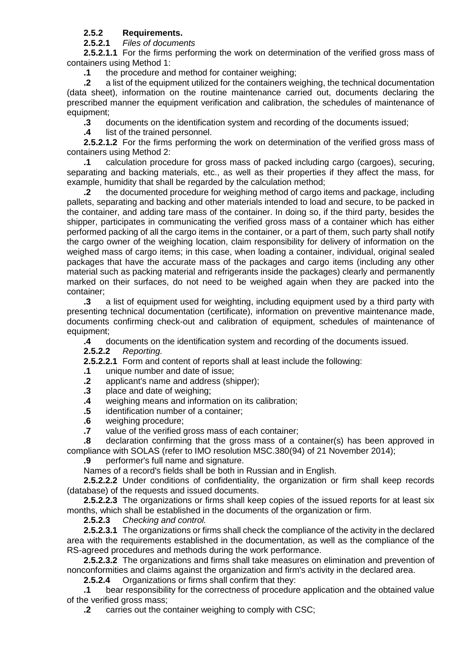## **2.5.2 Requirements.**

**2.5.2.1** *Files of documents* 

**2.5.2.1.1** For the firms performing the work on determination of the verified gross mass of containers using Method 1:

**.1** the procedure and method for container weighing;

**.2** a list of the equipment utilized for the containers weighing, the technical documentation (data sheet), information on the routine maintenance carried out, documents declaring the prescribed manner the equipment verification and calibration, the schedules of maintenance of equipment;

**.3** documents on the identification system and recording of the documents issued;

**.4** list of the trained personnel.

**2.5.2.1.2** For the firms performing the work on determination of the verified gross mass of containers using Method 2:

**.1** calculation procedure for gross mass of packed including cargo (cargoes), securing, separating and backing materials, etc., as well as their properties if they affect the mass, for example, humidity that shall be regarded by the calculation method;

**.2** the documented procedure for weighing method of cargo items and package, including pallets, separating and backing and other materials intended to load and secure, to be packed in the container, and adding tare mass of the container. In doing so, if the third party, besides the shipper, participates in communicating the verified gross mass of a container which has either performed packing of all the cargo items in the container, or a part of them, such party shall notify the cargo owner of the weighing location, claim responsibility for delivery of information on the weighed mass of cargo items; in this case, when loading a container, individual, original sealed packages that have the accurate mass of the packages and cargo items (including any other material such as packing material and refrigerants inside the packages) clearly and permanently marked on their surfaces, do not need to be weighed again when they are packed into the container;

**.3** a list of equipment used for weighting, including equipment used by a third party with presenting technical documentation (certificate), information on preventive maintenance made, documents confirming check-out and calibration of equipment, schedules of maintenance of equipment;<br>**4** d

**.4** documents on the identification system and recording of the documents issued.

**2.5.2.2** *Reporting.*

**2.5.2.2.1** Form and content of reports shall at least include the following:

- **.1** unique number and date of issue;
- **.2** applicant's name and address (shipper);
- **.3** place and date of weighing;
- **.4** weighing means and information on its calibration;
- **.5** identification number of a container;
- **.6** weighing procedure;
- **.7** value of the verified gross mass of each container;

**.8** declaration confirming that the gross mass of a container(s) has been approved in compliance with SOLAS (refer to IMO resolution MSC.380(94) of 21 November 2014);

**.9** performer's full name and signature.

Names of a record's fields shall be both in Russian and in English.

**2.5.2.2.2** Under conditions of confidentiality, the organization or firm shall keep records (database) of the requests and issued documents.

**2.5.2.2.3** The organizations or firms shall keep copies of the issued reports for at least six months, which shall be established in the documents of the organization or firm.

**2.5.2.3** *Checking and control.*

**2.5.2.3.1** The organizations or firms shall check the compliance of the activity in the declared area with the requirements established in the documentation, as well as the compliance of the RS-agreed procedures and methods during the work performance.

**2.5.2.3.2** The organizations and firms shall take measures on elimination and prevention of nonconformities and claims against the organization and firm's activity in the declared area.

**2.5.2.4** Organizations or firms shall confirm that they:

**.1** bear responsibility for the correctness of procedure application and the obtained value of the verified gross mass;

**.2** carries out the container weighing to comply with CSC;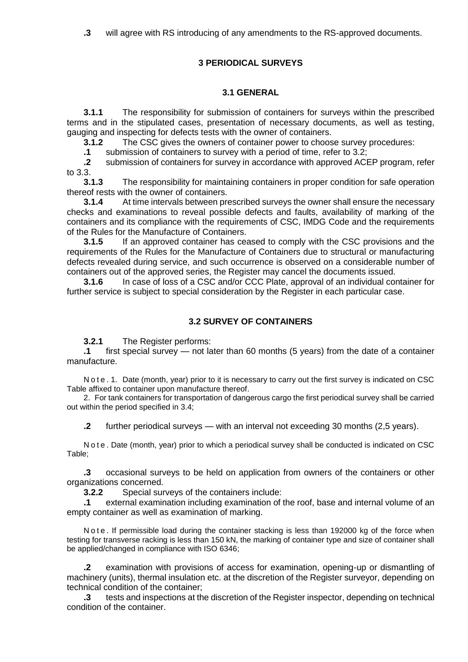**.3** will agree with RS introducing of any amendments to the RS-approved documents.

## **3 PERIODICAL SURVEYS**

## **3.1 GENERAL**

**3.1.1** The responsibility for submission of containers for surveys within the prescribed terms and in the stipulated cases, presentation of necessary documents, as well as testing, gauging and inspecting for defects tests with the owner of containers.

**3.1.2** The CSC gives the owners of container power to choose survey procedures:

**.1** submission of containers to survey with a period of time, refer to 3.2;

**.2** submission of containers for survey in accordance with approved ACEP program, refer to 3.3.

**3.1.3** The responsibility for maintaining containers in proper condition for safe operation thereof rests with the owner of containers.

**3.1.4** At time intervals between prescribed surveys the owner shall ensure the necessary checks and examinations to reveal possible defects and faults, availability of marking of the containers and its compliance with the requirements of CSC, IMDG Code and the requirements of the Rules for the Manufacture of Containers.

**3.1.5** If an approved container has ceased to comply with the CSC provisions and the requirements of the Rules for the Manufacture of Containers due to structural or manufacturing defects revealed during service, and such occurrence is observed on a considerable number of containers out of the approved series, the Register may cancel the documents issued.

**3.1.6** In case of loss of a CSC and/or CCC Plate, approval of an individual container for further service is subject to special consideration by the Register in each particular case.

#### **3.2 SURVEY OF CONTAINERS**

**3.2.1** The Register performs:

**.1** first special survey — not later than 60 months (5 years) from the date of a container manufacture.

N o t e . 1. Date (month, year) prior to it is necessary to carry out the first survey is indicated on CSC Table affixed to container upon manufacture thereof.

2. For tank containers for transportation of dangerous cargo the first periodical survey shall be carried out within the period specified in 3.4;

**.2** further periodical surveys — with an interval not exceeding 30 months (2,5 years).

N o t e . Date (month, year) prior to which a periodical survey shall be conducted is indicated on CSC Table;

**.3** occasional surveys to be held on application from owners of the containers or other organizations concerned.

**3.2.2** Special surveys of the containers include:

**.1** external examination including examination of the roof, base and internal volume of an empty container as well as examination of marking.

N o t e . If permissible load during the container stacking is less than 192000 kg of the force when testing for transverse racking is less than 150 kN, the marking of container type and size of container shall be applied/changed in compliance with ISO 6346;

**.2** examination with provisions of access for examination, opening-up or dismantling of machinery (units), thermal insulation etc. at the discretion of the Register surveyor, depending on technical condition of the container;

**.3** tests and inspections at the discretion of the Register inspector, depending on technical condition of the container.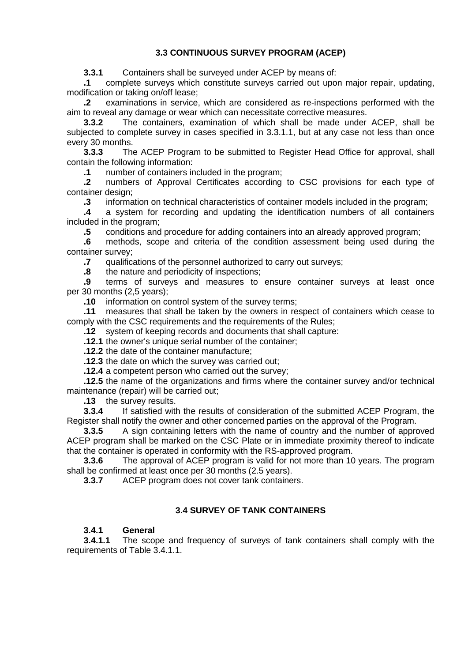## **3.3 CONTINUOUS SURVEY PROGRAM (ACEP)**

**3.3.1** Containers shall be surveyed under ACEP by means of:

**.1** complete surveys which constitute surveys carried out upon major repair, updating, modification or taking on/off lease;

**.2** examinations in service, which are considered as re-inspections performed with the aim to reveal any damage or wear which can necessitate corrective measures.

**3.3.2** The containers, examination of which shall be made under ACEP, shall be subjected to complete survey in cases specified in 3.3.1.1, but at any case not less than once every 30 months.

**3.3.3** The ACEP Program to be submitted to Register Head Office for approval, shall contain the following information:

**.1** number of containers included in the program;

**.2** numbers of Approval Certificates according to CSC provisions for each type of container design;

**.3** information on technical characteristics of container models included in the program;

**.4** a system for recording and updating the identification numbers of all containers included in the program;

**.5** conditions and procedure for adding containers into an already approved program;

**.6** methods, scope and criteria of the condition assessment being used during the container survey;

**.7** qualifications of the personnel authorized to carry out surveys;

**.8** the nature and periodicity of inspections;

**.9** terms of surveys and measures to ensure container surveys at least once per 30 months (2,5 years);

**.10** information on control system of the survey terms;

**.11** measures that shall be taken by the owners in respect of containers which cease to comply with the CSC requirements and the requirements of the Rules;

**.12** system of keeping records and documents that shall capture:

**.12.1** the owner's unique serial number of the container;

**.12.2** the date of the container manufacture;

**.12.3** the date on which the survey was carried out;

**.12.4** a competent person who carried out the survey;

**.12.5** the name of the organizations and firms where the container survey and/or technical maintenance (repair) will be carried out;

**.13** the survey results.

**3.3.4** If satisfied with the results of consideration of the submitted ACEP Program, the Register shall notify the owner and other concerned parties on the approval of the Program.

**3.3.5** A sign containing letters with the name of country and the number of approved ACEP program shall be marked on the CSC Plate or in immediate proximity thereof to indicate that the container is operated in conformity with the RS-approved program.

**3.3.6** The approval of ACEP program is valid for not more than 10 years. The program shall be confirmed at least once per 30 months (2.5 years).

**3.3.7** ACEP program does not cover tank containers.

## **3.4 SURVEY OF TANK CONTAINERS**

## **3.4.1 General**

**3.4.1.1** The scope and frequency of surveys of tank containers shall comply with the requirements of Table 3.4.1.1.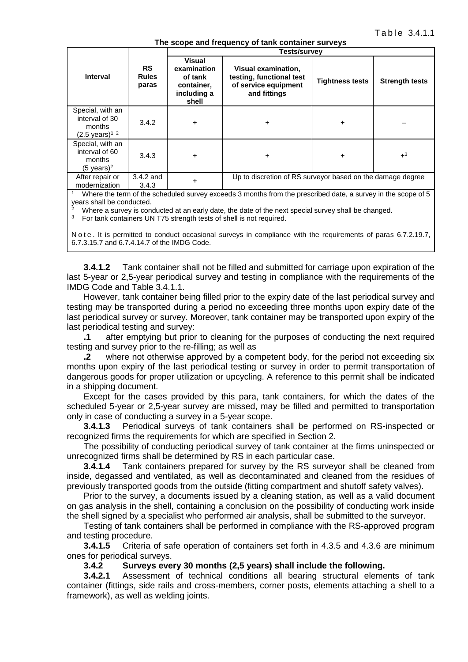**The scope and frequency of tank container surveys**

|                                                                             |                                    | Tests/survev                                                                  |                                                                                         |                        |                       |
|-----------------------------------------------------------------------------|------------------------------------|-------------------------------------------------------------------------------|-----------------------------------------------------------------------------------------|------------------------|-----------------------|
| Interval                                                                    | <b>RS</b><br><b>Rules</b><br>paras | <b>Visual</b><br>examination<br>of tank<br>container,<br>including a<br>shell | Visual examination,<br>testing, functional test<br>of service equipment<br>and fittings | <b>Tightness tests</b> | <b>Strength tests</b> |
| Special, with an<br>interval of 30<br>months<br>$(2.5 \text{ years})^{1,2}$ | 3.4.2                              | +                                                                             | $\ddot{}$                                                                               | $\pm$                  |                       |
| Special, with an<br>interval of 60<br>months<br>$(5 \text{ years})^2$       | 3.4.3                              | +                                                                             | $\ddot{}$                                                                               | +                      | $+$ <sup>3</sup>      |
| After repair or<br>modernization                                            | $3.4.2$ and<br>3.4.3               | +                                                                             | Up to discretion of RS surveyor based on the damage degree                              |                        |                       |

Where the term of the scheduled survey exceeds 3 months from the prescribed date, a survey in the scope of 5 years shall be conducted.

Where a survey is conducted at an early date, the date of the next special survey shall be changed.

<sup>3</sup> For tank containers UN T75 strength tests of shell is not required.

N o t e . It is permitted to conduct occasional surveys in compliance with the requirements of paras 6.7.2.19.7, 6.7.3.15.7 and 6.7.4.14.7 of the IMDG Code.

**3.4.1.2** Tank container shall not be filled and submitted for carriage upon expiration of the last 5-year or 2,5-year periodical survey and testing in compliance with the requirements of the IMDG Code and Table 3.4.1.1.

However, tank container being filled prior to the expiry date of the last periodical survey and testing may be transported during a period no exceeding three months upon expiry date of the last periodical survey or survey. Moreover, tank container may be transported upon expiry of the last periodical testing and survey:

**.1** after emptying but prior to cleaning for the purposes of conducting the next required testing and survey prior to the re-filling; as well as

**.2** where not otherwise approved by a competent body, for the period not exceeding six months upon expiry of the last periodical testing or survey in order to permit transportation of dangerous goods for proper utilization or upcycling. A reference to this permit shall be indicated in a shipping document.

Except for the cases provided by this para, tank containers, for which the dates of the scheduled 5-year or 2,5-year survey are missed, may be filled and permitted to transportation only in case of conducting a survey in a 5-year scope.

**3.4.1.3** Periodical surveys of tank containers shall be performed on RS-inspected or recognized firms the requirements for which are specified in Section 2.

The possibility of conducting periodical survey of tank container at the firms uninspected or unrecognized firms shall be determined by RS in each particular case.

**3.4.1.4** Tank containers prepared for survey by the RS surveyor shall be cleaned from inside, degassed and ventilated, as well as decontaminated and cleaned from the residues of previously transported goods from the outside (fitting compartment and shutoff safety valves).

Prior to the survey, a documents issued by a cleaning station, as well as a valid document on gas analysis in the shell, containing a conclusion on the possibility of conducting work inside the shell signed by a specialist who performed air analysis, shall be submitted to the surveyor.

Testing of tank containers shall be performed in compliance with the RS-approved program and testing procedure.

**3.4.1.5** Criteria of safe operation of containers set forth in 4.3.5 and 4.3.6 are minimum ones for periodical surveys.

#### **3.4.2 Surveys every 30 months (2,5 years) shall include the following.**

**3.4.2.1** Assessment of technical conditions all bearing structural elements of tank container (fittings, side rails and cross-members, corner posts, elements attaching a shell to a framework), as well as welding joints.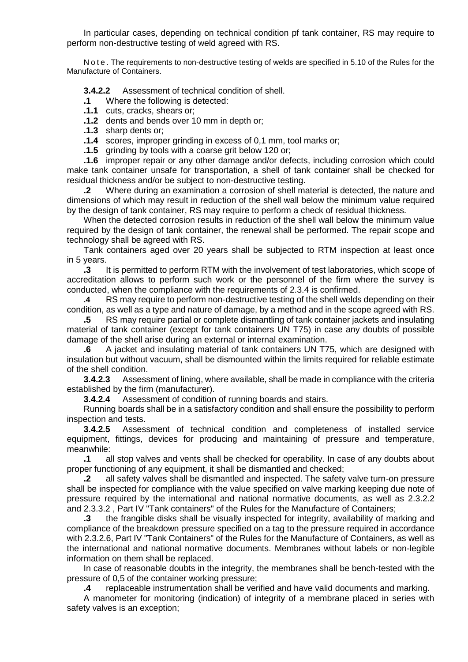In particular cases, depending on technical condition pf tank container, RS may require to perform non-destructive testing of weld agreed with RS.

N o t e . The requirements to non-destructive testing of welds are specified in 5.10 of the Rules for the Manufacture of Containers.

#### **3.4.2.2** Assessment of technical condition of shell.

- **.1** Where the following is detected:
- **.1.1** cuts, cracks, shears or;
- **.1.2** dents and bends over 10 mm in depth or;
- **.1.3** sharp dents or;
- **.1.4** scores, improper grinding in excess of 0,1 mm, tool marks or;
- **.1.5** grinding by tools with a coarse grit below 120 or;

**.1.6** improper repair or any other damage and/or defects, including corrosion which could make tank container unsafe for transportation, a shell of tank container shall be checked for residual thickness and/or be subject to non-destructive testing.

**.2** Where during an examination a corrosion of shell material is detected, the nature and dimensions of which may result in reduction of the shell wall below the minimum value required by the design of tank container, RS may require to perform a check of residual thickness.

When the detected corrosion results in reduction of the shell wall below the minimum value required by the design of tank container, the renewal shall be performed. The repair scope and technology shall be agreed with RS.

Tank containers aged over 20 years shall be subjected to RTM inspection at least once in 5 years.

**.3** It is permitted to perform RTM with the involvement of test laboratories, which scope of accreditation allows to perform such work or the personnel of the firm where the survey is conducted, when the compliance with the requirements of 2.3.4 is confirmed.

**.4** RS may require to perform non-destructive testing of the shell welds depending on their condition, as well as a type and nature of damage, by a method and in the scope agreed with RS.

**.5** RS may require partial or complete dismantling of tank container jackets and insulating material of tank container (except for tank containers UN T75) in case any doubts of possible damage of the shell arise during an external or internal examination.

**.6** A jacket and insulating material of tank containers UN T75, which are designed with insulation but without vacuum, shall be dismounted within the limits required for reliable estimate of the shell condition.

**3.4.2.3** Assessment of lining, where available, shall be made in compliance with the criteria established by the firm (manufacturer).

**3.4.2.4** Assessment of condition of running boards and stairs.

Running boards shall be in a satisfactory condition and shall ensure the possibility to perform inspection and tests.

**3.4.2.5** Assessment of technical condition and completeness of installed service equipment, fittings, devices for producing and maintaining of pressure and temperature, meanwhile:

**.1** all stop valves and vents shall be checked for operability. In case of any doubts about proper functioning of any equipment, it shall be dismantled and checked;

**.2** all safety valves shall be dismantled and inspected. The safety valve turn-on pressure shall be inspected for compliance with the value specified on valve marking keeping due note of pressure required by the international and national normative documents, as well as 2.3.2.2 and 2.3.3.2 , Part IV "Tank containers" of the Rules for the Manufacture of Containers;

**.3** the frangible disks shall be visually inspected for integrity, availability of marking and compliance of the breakdown pressure specified on a tag to the pressure required in accordance with 2.3.2.6, Part IV "Tank Containers" of the Rules for the Manufacture of Containers, as well as the international and national normative documents. Membranes without labels or non-legible information on them shall be replaced.

In case of reasonable doubts in the integrity, the membranes shall be bench-tested with the pressure of 0,5 of the container working pressure;

**.4** replaceable instrumentation shall be verified and have valid documents and marking.

A manometer for monitoring (indication) of integrity of a membrane placed in series with safety valves is an exception;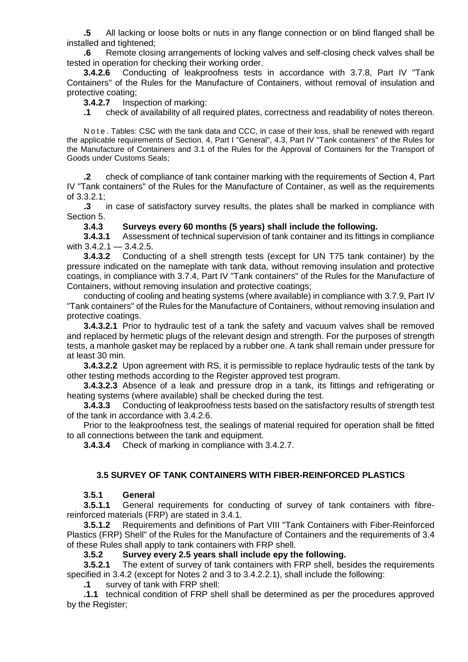**.5** All lacking or loose bolts or nuts in any flange connection or on blind flanged shall be installed and tightened;

**.6** Remote closing arrangements of locking valves and self-closing check valves shall be tested in operation for checking their working order.

**3.4.2.6** Conducting of leakproofness tests in accordance with 3.7.8, Part IV "Tank Containers" of the Rules for the Manufacture of Containers, without removal of insulation and protective coating;<br>3.4.2.7 Insp

**3.4.2.7** Inspection of marking:

**.1** check of availability of all required plates, correctness and readability of notes thereon.

N o t e . Tables: CSC with the tank data and CCC, in case of their loss, shall be renewed with regard the applicable requirements of Section. 4, Part I "General", 4.3, Part IV "Tank containers" of the Rules for the Manufacture of Containers and 3.1 of the Rules for the Approval of Containers for the Transport of Goods under Customs Seals;

**.2** check of compliance of tank container marking with the requirements of Section 4, Part IV "Tank containers" of the Rules for the Manufacture of Container, as well as the requirements of 3.3.2.1;

**.3** in case of satisfactory survey results, the plates shall be marked in compliance with Section 5.

#### **3.4.3 Surveys every 60 months (5 years) shall include the following.**

**3.4.3.1** Assessment of technical supervision of tank container and its fittings in compliance with 3.4.2.1 - 3.4.2.5.

**3.4.3.2** Conducting of a shell strength tests (except for UN T75 tank container) by the pressure indicated on the nameplate with tank data, without removing insulation and protective coatings, in compliance with 3.7.4, Part IV "Tank containers" of the Rules for the Manufacture of Containers, without removing insulation and protective coatings;

conducting of cooling and heating systems (where available) in compliance with 3.7.9, Part IV "Tank containers" of the Rules for the Manufacture of Containers, without removing insulation and protective coatings.

**3.4.3.2.1** Prior to hydraulic test of a tank the safety and vacuum valves shall be removed and replaced by hermetic plugs of the relevant design and strength. For the purposes of strength tests, a manhole gasket may be replaced by a rubber one. A tank shall remain under pressure for at least 30 min.

**3.4.3.2.2** Upon agreement with RS, it is permissible to replace hydraulic tests of the tank by other testing methods according to the Register approved test program.

**3.4.3.2.3** Absence of a leak and pressure drop in a tank, its fittings and refrigerating or heating systems (where available) shall be checked during the test.

**3.4.3.3** Conducting of leakproofness tests based on the satisfactory results of strength test of the tank in accordance with 3.4.2.6.

Prior to the leakproofness test, the sealings of material required for operation shall be fitted to all connections between the tank and equipment.

**3.4.3.4** Check of marking in compliance with 3.4.2.7.

## **3.5 SURVEY OF TANK CONTAINERS WITH FIBER-REINFORCED PLASTICS**

## **3.5.1 General**

**3.5.1.1** General requirements for conducting of survey of tank containers with fibrereinforced materials (FRP) are stated in 3.4.1.

**3.5.1.2** Requirements and definitions of Part VIII "Tank Containers with Fiber-Reinforced Plastics (FRP) Shell" of the Rules for the Manufacture of Containers and the requirements of 3.4 of these Rules shall apply to tank containers with FRP shell.

**3.5.2 Survey every 2.5 years shall include еру the following.**

**3.5.2.1** The extent of survey of tank containers with FRP shell, besides the requirements specified in 3.4.2 (except for Notes 2 and 3 to 3.4.2.2.1), shall include the following:

**.1** survey of tank with FRP shell:

**.1.1** technical condition of FRP shell shall be determined as per the procedures approved by the Register;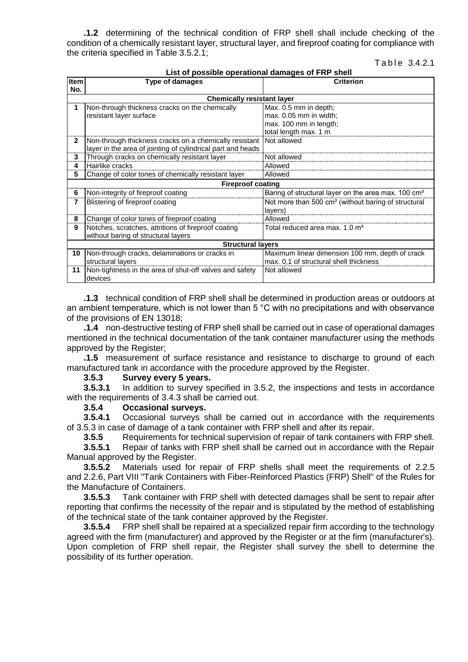**.1.2** determining of the technical condition of FRP shell shall include checking of the condition of a chemically resistant layer, structural layer, and fireproof coating for compliance with the criteria specified in Table 3.5.2.1;

Table 3.4.2.1

|              | List of possible operational damages of FitT shell          |                                                                 |  |  |  |  |
|--------------|-------------------------------------------------------------|-----------------------------------------------------------------|--|--|--|--|
| Item         | <b>Type of damages</b>                                      | <b>Criterion</b>                                                |  |  |  |  |
| No.          |                                                             |                                                                 |  |  |  |  |
|              | <b>Chemically resistant layer</b>                           |                                                                 |  |  |  |  |
| 1            | Non-through thickness cracks on the chemically              | Max. 0.5 mm in depth;                                           |  |  |  |  |
|              | resistant layer surface                                     | max. 0.05 mm in width;                                          |  |  |  |  |
|              |                                                             | max. 100 mm in length;                                          |  |  |  |  |
|              |                                                             | total length max. 1 m                                           |  |  |  |  |
| $\mathbf{2}$ | Non-through thickness cracks on a chemically resistant      | Not allowed                                                     |  |  |  |  |
|              | layer in the area of jointing of cylindrical part and heads |                                                                 |  |  |  |  |
| 3            | Through cracks on chemically resistant layer                | Not allowed                                                     |  |  |  |  |
| 4            | Hairlike cracks                                             | Allowed                                                         |  |  |  |  |
| 5            | Change of color tones of chemically resistant layer         | Allowed                                                         |  |  |  |  |
|              | <b>Fireproof coating</b>                                    |                                                                 |  |  |  |  |
| 6            | Non-integrity of fireproof coating                          | Baring of structural layer on the area max. 100 cm <sup>2</sup> |  |  |  |  |
| 7            | Blistering of fireproof coating                             | Not more than 500 cm <sup>2</sup> (without baring of structural |  |  |  |  |
|              |                                                             | layers)                                                         |  |  |  |  |
| 8            | Change of color tones of fireproof coating                  | Allowed                                                         |  |  |  |  |
| 9            | Notches, scratches, attritions of fireproof coating         | Total reduced area max. 1.0 m <sup>2</sup>                      |  |  |  |  |
|              | without baring of structural layers                         |                                                                 |  |  |  |  |
|              | <b>Structural layers</b>                                    |                                                                 |  |  |  |  |
| 10           | Non-through cracks, delaminations or cracks in              | Maximum linear dimension 100 mm, depth of crack                 |  |  |  |  |
|              | structural layers                                           | max. 0,1 of structural shell thickness                          |  |  |  |  |
| 11           | Non-tightness in the area of shut-off valves and safety     | Not allowed                                                     |  |  |  |  |
|              | devices                                                     |                                                                 |  |  |  |  |

**List of possible operational damages of FRP shell**

**.1.3** technical condition of FRP shell shall be determined in production areas or outdoors at an ambient temperature, which is not lower than 5 °C with no precipitations and with observance of the provisions of EN 13018;

**.1.4** non-destructive testing of FRP shell shall be carried out in case of operational damages mentioned in the technical documentation of the tank container manufacturer using the methods approved by the Register;

**.1.5** measurement of surface resistance and resistance to discharge to ground of each manufactured tank in accordance with the procedure approved by the Register.

## **3.5.3 Survey every 5 years.**

**3.5.3.1** In addition to survey specified in 3.5.2, the inspections and tests in accordance with the requirements of 3.4.3 shall be carried out.

**3.5.4 Occasional surveys.**

**3.5.4.1** Occasional surveys shall be carried out in accordance with the requirements of 3.5.3 in case of damage of a tank container with FRP shell and after its repair.

**3.5.5** Requirements for technical supervision of repair of tank containers with FRP shell.

**3.5.5.1** Repair of tanks with FRP shell shall be carried out in accordance with the Repair Manual approved by the Register.

**3.5.5.2** Materials used for repair of FRP shells shall meet the requirements of 2.2.5 and 2.2.6, Part VIII "Tank Containers with Fiber-Reinforced Plastics (FRP) Shell" of the Rules for the Manufacture of Containers.

**3.5.5.3** Tank container with FRP shell with detected damages shall be sent to repair after reporting that confirms the necessity of the repair and is stipulated by the method of establishing of the technical state of the tank container approved by the Register.

**3.5.5.4** FRP shell shall be repaired at a specialized repair firm according to the technology agreed with the firm (manufacturer) and approved by the Register or at the firm (manufacturer's). Upon completion of FRP shell repair, the Register shall survey the shell to determine the possibility of its further operation.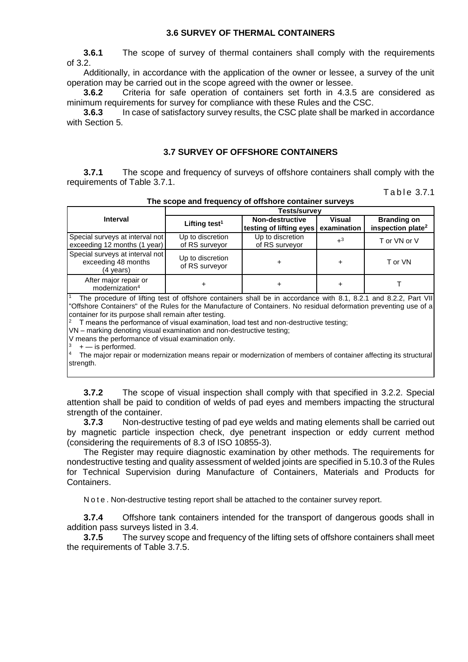#### **3.6 SURVEY OF THERMAL CONTAINERS**

**3.6.1** The scope of survey of thermal containers shall comply with the requirements of 3.2.

Additionally, in accordance with the application of the owner or lessee, a survey of the unit operation may be carried out in the scope agreed with the owner or lessee.

**3.6.2** Criteria for safe operation of containers set forth in 4.3.5 are considered as minimum requirements for survey for compliance with these Rules and the CSC.

**3.6.3** In case of satisfactory survey results, the CSC plate shall be marked in accordance with Section 5.

## **3.7 SURVEY OF OFFSHORE CONTAINERS**

**3.7.1** The scope and frequency of surveys of offshore containers shall comply with the requirements of Table 3.7.1.

Table 3.7.1

|                                                                     | Tests/survey                       |                                                        |               |                                                     |  |
|---------------------------------------------------------------------|------------------------------------|--------------------------------------------------------|---------------|-----------------------------------------------------|--|
| <b>Interval</b>                                                     | Lifting test <sup>1</sup>          | Non-destructive<br>testing of lifting eyes examination | <b>Visual</b> | <b>Branding on</b><br>inspection plate <sup>2</sup> |  |
| Special surveys at interval not<br>exceeding 12 months (1 year)     | Up to discretion<br>of RS surveyor | Up to discretion<br>of RS surveyor                     | $+3$          | T or VN or V                                        |  |
| Special surveys at interval not<br>exceeding 48 months<br>(4 years) | Up to discretion<br>of RS surveyor |                                                        |               | T or VN                                             |  |
| After major repair or<br>modernization <sup>4</sup>                 |                                    |                                                        |               |                                                     |  |

The procedure of lifting test of offshore containers shall be in accordance with 8.1, 8.2.1 and 8.2.2, Part VII "Offshore Containers" of the Rules for the Manufacture of Containers. No residual deformation preventing use of a container for its purpose shall remain after testing.

<sup>2</sup> Т means the performance of visual examination, load test and non-destructive testing;

VN – marking denoting visual examination and non-destructive testing;

V means the performance of visual examination only.

 $+$  — is performed.

<sup>4</sup> The major repair or modernization means repair or modernization of members of container affecting its structural strength.

**3.7.2** The scope of visual inspection shall comply with that specified in 3.2.2. Special attention shall be paid to condition of welds of pad eyes and members impacting the structural strength of the container.

**3.7.3** Non-destructive testing of pad eye welds and mating elements shall be carried out by magnetic particle inspection check, dye penetrant inspection or eddy current method (considering the requirements of 8.3 of ISO 10855-3).

The Register may require diagnostic examination by other methods. The requirements for nondestructive testing and quality assessment of welded joints are specified in 5.10.3 of the Rules for Technical Supervision during Manufacture of Containers, Materials and Products for Containers.

N o t e . Non-destructive testing report shall be attached to the container survey report.

**3.7.4** Offshore tank containers intended for the transport of dangerous goods shall in addition pass surveys listed in 3.4.

**3.7.5** The survey scope and frequency of the lifting sets of offshore containers shall meet the requirements of Table 3.7.5.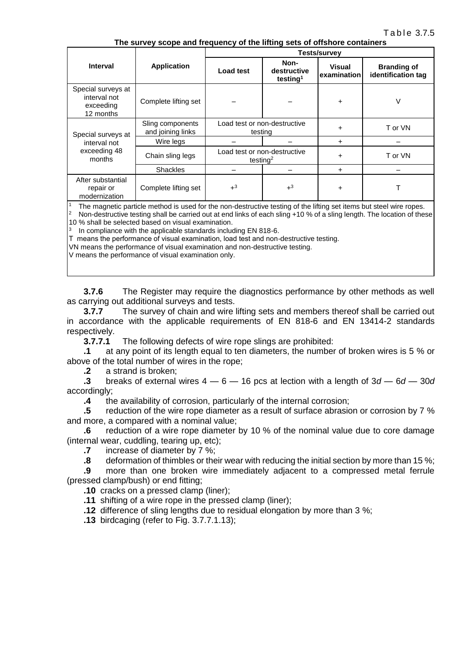**The survey scope and frequency of the lifting sets of offshore containers**

|                                                              | <b>Application</b>                    | Tests/survey                                         |                                             |                              |                                          |
|--------------------------------------------------------------|---------------------------------------|------------------------------------------------------|---------------------------------------------|------------------------------|------------------------------------------|
| Interval                                                     |                                       | Load test                                            | Non-<br>destructive<br>testing <sup>1</sup> | <b>Visual</b><br>examination | <b>Branding of</b><br>identification tag |
| Special surveys at<br>interval not<br>exceeding<br>12 months | Complete lifting set                  |                                                      |                                             | $\ddot{}$                    | V                                        |
| Special surveys at<br>interval not<br>exceeding 48<br>months | Sling components<br>and joining links | Load test or non-destructive<br>testina              |                                             | $\div$                       | T or VN                                  |
|                                                              | Wire legs                             |                                                      |                                             | $\ddot{}$                    |                                          |
|                                                              | Chain sling legs                      | Load test or non-destructive<br>testing <sup>2</sup> |                                             | ÷                            | T or VN                                  |
|                                                              | <b>Shackles</b>                       |                                                      |                                             | ÷                            |                                          |
| After substantial<br>repair or<br>modernization              | Complete lifting set                  | $+^3$                                                | $+3$                                        | $\ddot{}$                    |                                          |

The magnetic particle method is used for the non-destructive testing of the lifting set items but steel wire ropes.

<sup>2</sup> Non-destructive testing shall be carried out at end links of each sling +10 % of a sling length. The location of these 10 % shall be selected based on visual examination.

 $3$  In compliance with the applicable standards including EN 818-6.

Т means the performance of visual examination, load test and non-destructive testing.

VN means the performance of visual examination and non-destructive testing.

V means the performance of visual examination only.

**3.7.6** The Register may require the diagnostics performance by other methods as well as carrying out additional surveys and tests.

**3.7.7** The survey of chain and wire lifting sets and members thereof shall be carried out in accordance with the applicable requirements of EN 818-6 and EN 13414-2 standards respectively.

**3.7.7.1** The following defects of wire rope slings are prohibited:

**.1** at any point of its length equal to ten diameters, the number of broken wires is 5 % or above of the total number of wires in the rope;

**.2** a strand is broken;

**.3** breaks of external wires 4 — 6 — 16 pcs at lection with a length of 3*d* — 6*d* — 30*d* accordingly;

**.4** the availability of corrosion, particularly of the internal corrosion;

**.5** reduction of the wire rope diameter as a result of surface abrasion or corrosion by 7 % and more, a compared with a nominal value;

**.6** reduction of a wire rope diameter by 10 % of the nominal value due to core damage (internal wear, cuddling, tearing up, etc);

**.7** increase of diameter by 7 %;

**.8** deformation of thimbles or their wear with reducing the initial section by more than 15 %;

**.9** more than one broken wire immediately adjacent to a compressed metal ferrule (pressed clamp/bush) or end fitting;

**.10** cracks on a pressed clamp (liner);

**.11** shifting of a wire rope in the pressed clamp (liner);

**.12** difference of sling lengths due to residual elongation by more than 3 %;

**.13** birdcaging (refer to Fig. 3.7.7.1.13);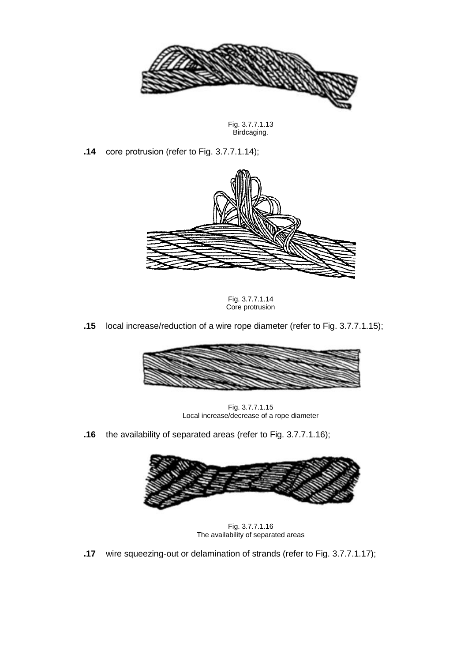

Fig. 3.7.7.1.13 Birdcaging.

**.14** сore protrusion (refer to Fig. 3.7.7.1.14);



Fig. 3.7.7.1.14 Core protrusion

**.15** local increase/reduction of a wire rope diameter (refer to Fig. 3.7.7.1.15);



Fig. 3.7.7.1.15 Local increase/decrease of a rope diameter

**.16** the availability of separated areas (refer to Fig. 3.7.7.1.16);



Fig. 3.7.7.1.16 The availability of separated areas

**.17** wire squeezing-out or delamination of strands (refer to Fig. 3.7.7.1.17);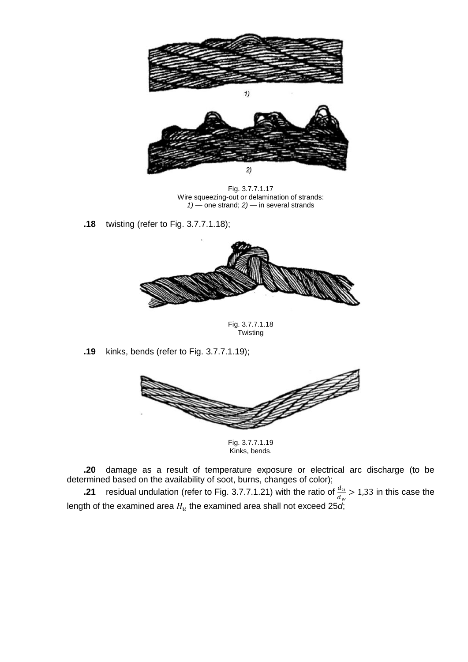



Fig. 3.7.7.1.17 Wire squeezing-out or delamination of strands: *1)* — one strand; *2)* — in several strands

**.18** twisting (refer to Fig. 3.7.7.1.18);



Fig. 3.7.7.1.18 **Twisting** 

**.19** kinks, bends (refer to Fig. 3.7.7.1.19);



Fig. 3.7.7.1.19 Kinks, bends.

**.20** damage as a result of temperature exposure or electrical arc discharge (to be determined based on the availability of soot, burns, changes of color);

**21** residual undulation (refer to Fig. 3.7.7.1.21) with the ratio of  $\frac{d_u}{d_w}$  > 1,33 in this case the length of the examined area  $H_u$  the examined area shall not exceed 25 $\vec{a}$ ;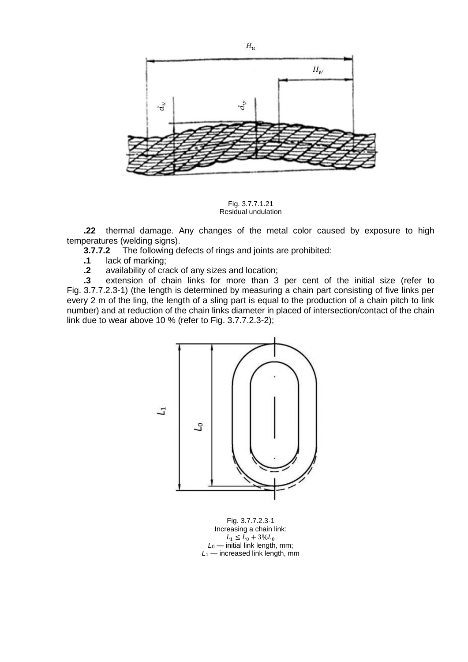

Fig. 3.7.7.1.21 Residual undulation

**.22** thermal damage. Any changes of the metal color caused by exposure to high temperatures (welding signs).

**3.7.7.2** The following defects of rings and joints are prohibited:

- **.1** lack of marking;
- **.2** availability of crack of any sizes and location;

**.3** extension of chain links for more than 3 per cent of the initial size (refer to Fig. 3.7.7.2.3-1) (the length is determined by measuring a chain part consisting of five links per every 2 m of the ling, the length of a sling part is equal to the production of a chain pitch to link number) and at reduction of the chain links diameter in placed of intersection/contact of the chain link due to wear above 10 % (refer to Fig. 3.7.7.2.3-2);



Fig. 3.7.7.2.3-1 Increasing a chain link:  $L_1 \le L_0 + 3\%L_0$ *L*<sup>0</sup> — initial link length, mm; *L*<sup>1</sup> — increased link length, mm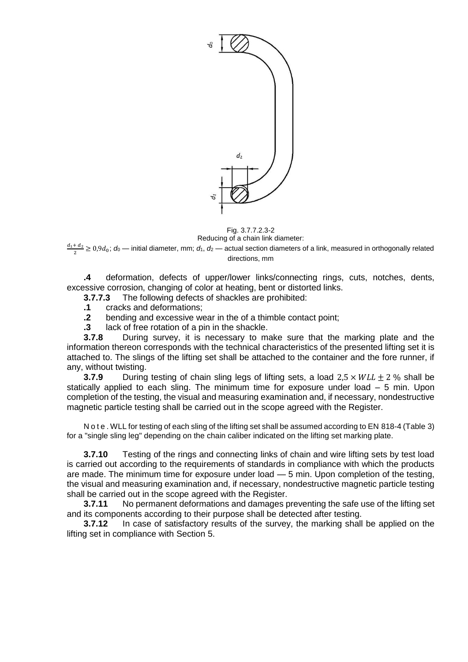

#### Fig. 3.7.7.2.3-2 Reducing of a chain link diameter:

 $d_1 + d_2$  $\frac{u_{12}}{2}$   $\geq 0.9d_0$ ; *d*<sub>0</sub> — initial diameter, mm; *d*<sub>1</sub>, *d*<sub>2</sub> — actual section diameters of a link, measured in orthogonally related directions, mm

**.4** deformation, defects of upper/lower links/connecting rings, cuts, notches, dents, excessive corrosion, changing of color at heating, bent or distorted links.

**3.7.7.3** The following defects of shackles are prohibited:

- **.1** cracks and deformations;
- **.2** bending and excessive wear in the of a thimble contact point;

**.3** lack of free rotation of a pin in the shackle.

**3.7.8** During survey, it is necessary to make sure that the marking plate and the information thereon corresponds with the technical characteristics of the presented lifting set it is attached to. The slings of the lifting set shall be attached to the container and the fore runner, if any, without twisting.

**3.7.9** During testing of chain sling legs of lifting sets, a load  $2.5 \times WLL + 2\%$  shall be statically applied to each sling. The minimum time for exposure under load – 5 min. Upon completion of the testing, the visual and measuring examination and, if necessary, nondestructive magnetic particle testing shall be carried out in the scope agreed with the Register.

N o t e . WLL for testing of each sling of the lifting set shall be assumed according to EN 818-4 (Table 3) for a "single sling leg" depending on the chain caliber indicated on the lifting set marking plate.

**3.7.10** Testing of the rings and connecting links of chain and wire lifting sets by test load is carried out according to the requirements of standards in compliance with which the products are made. The minimum time for exposure under load — 5 min. Upon completion of the testing, the visual and measuring examination and, if necessary, nondestructive magnetic particle testing shall be carried out in the scope agreed with the Register.

**3.7.11** No permanent deformations and damages preventing the safe use of the lifting set and its components according to their purpose shall be detected after testing.

**3.7.12** In case of satisfactory results of the survey, the marking shall be applied on the lifting set in compliance with Section 5.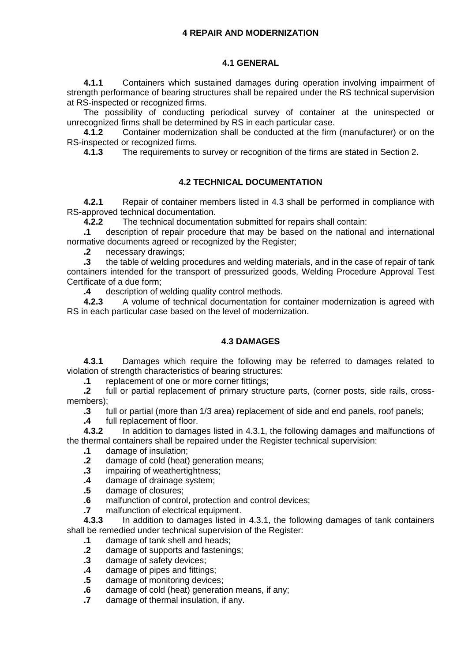## **4 REPAIR AND MODERNIZATION**

## **4.1 GENERAL**

**4.1.1** Containers which sustained damages during operation involving impairment of strength performance of bearing structures shall be repaired under the RS technical supervision at RS-inspected or recognized firms.

The possibility of conducting periodical survey of container at the uninspected or unrecognized firms shall be determined by RS in each particular case.

**4.1.2** Container modernization shall be conducted at the firm (manufacturer) or on the RS-inspected or recognized firms.

**4.1.3** The requirements to survey or recognition of the firms are stated in Section 2.

## **4.2 TECHNICAL DOCUMENTATION**

**4.2.1** Repair of container members listed in 4.3 shall be performed in compliance with RS-approved technical documentation.

**4.2.2** The technical documentation submitted for repairs shall contain:

**.1** description of repair procedure that may be based on the national and international normative documents agreed or recognized by the Register;

**.2** necessary drawings;

**.3** the table of welding procedures and welding materials, and in the case of repair of tank containers intended for the transport of pressurized goods, Welding Procedure Approval Test Certificate of a due form;

**.4** description of welding quality control methods.

**4.2.3** A volume of technical documentation for container modernization is agreed with RS in each particular case based on the level of modernization.

## **4.3 DAMAGES**

**4.3.1** Damages which require the following may be referred to damages related to violation of strength characteristics of bearing structures:

**.1** replacement of one or more corner fittings;

**.2** full or partial replacement of primary structure parts, (corner posts, side rails, crossmembers);

**.3** full or partial (more than 1/3 area) replacement of side and end panels, roof panels;

**.4** full replacement of floor.

**4.3.2** In addition to damages listed in 4.3.1, the following damages and malfunctions of the thermal containers shall be repaired under the Register technical supervision:

- **.1** damage of insulation;
- **.2** damage of cold (heat) generation means:
- **.3** impairing of weathertightness;
- **.4** damage of drainage system;
- **.5** damage of closures;
- **.6** malfunction of control, protection and control devices;
- **.7** malfunction of electrical equipment.

**4.3.3** In addition to damages listed in 4.3.1, the following damages of tank containers shall be remedied under technical supervision of the Register:

- **.1** damage of tank shell and heads;
- **.2** damage of supports and fastenings;
- **.3** damage of safety devices;
- **.4** damage of pipes and fittings;
- **.5** damage of monitoring devices;
- **.6** damage of cold (heat) generation means, if any;
- **.7** damage of thermal insulation, if any.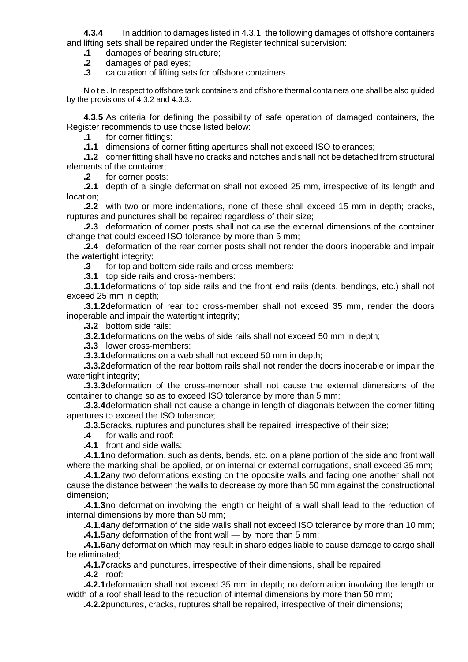**4.3.4** In addition to damages listed in 4.3.1, the following damages of offshore containers and lifting sets shall be repaired under the Register technical supervision:

**.1** damages of bearing structure;

**.2** damages of pad eyes;

**.3** calculation of lifting sets for offshore containers.

N o t e . In respect to offshore tank containers and offshore thermal containers one shall be also guided by the provisions of 4.3.2 and 4.3.3.

**4.3.5** As criteria for defining the possibility of safe operation of damaged containers, the Register recommends to use those listed below:

**.1** for corner fittings:

**.1.1** dimensions of corner fitting apertures shall not exceed ISO tolerances;

**.1.2** corner fitting shall have no cracks and notches and shall not be detached from structural elements of the container;

**.2** for corner posts:

**.2.1** depth of a single deformation shall not exceed 25 mm, irrespective of its length and location;

**.2.2** with two or more indentations, none of these shall exceed 15 mm in depth; cracks, ruptures and punctures shall be repaired regardless of their size;

**.2.3** deformation of corner posts shall not cause the external dimensions of the container change that could exceed ISO tolerance by more than 5 mm;

**.2.4** deformation of the rear corner posts shall not render the doors inoperable and impair the watertight integrity;

**.3** for top and bottom side rails and cross-members:

**.3.1** top side rails and cross-members:

**.3.1.1**deformations of top side rails and the front end rails (dents, bendings, etc.) shall not exceed 25 mm in depth;

**.3.1.2**deformation of rear top cross-member shall not exceed 35 mm, render the doors inoperable and impair the watertight integrity;

**.3.2** bottom side rails:

**.3.2.1**deformations on the webs of side rails shall not exceed 50 mm in depth;

**.3.3** lower cross-members:

**.3.3.1**deformations on a web shall not exceed 50 mm in depth;

**.3.3.2**deformation of the rear bottom rails shall not render the doors inoperable or impair the watertight integrity;

**.3.3.3**deformation of the cross-member shall not cause the external dimensions of the container to change so as to exceed ISO tolerance by more than 5 mm;

**.3.3.4**deformation shall not cause a change in length of diagonals between the corner fitting apertures to exceed the ISO tolerance;

**.3.3.5**cracks, ruptures and punctures shall be repaired, irrespective of their size;

**.4** for walls and roof:

**.4.1** front and side walls:

**.4.1.1**no deformation, such as dents, bends, etc. on a plane portion of the side and front wall where the marking shall be applied, or on internal or external corrugations, shall exceed 35 mm;

**.4.1.2**any two deformations existing on the opposite walls and facing one another shall not cause the distance between the walls to decrease by more than 50 mm against the constructional dimension;

**.4.1.3**no deformation involving the length or height of a wall shall lead to the reduction of internal dimensions by more than 50 mm;

**.4.1.4**any deformation of the side walls shall not exceed ISO tolerance by more than 10 mm; **.4.1.5**any deformation of the front wall — by more than 5 mm;

**.4.1.6**any deformation which may result in sharp edges liable to cause damage to cargo shall be eliminated;

**.4.1.7**cracks and punctures, irrespective of their dimensions, shall be repaired;

**.4.2** roof:

**.4.2.1**deformation shall not exceed 35 mm in depth; no deformation involving the length or width of a roof shall lead to the reduction of internal dimensions by more than 50 mm;

**.4.2.2**punctures, cracks, ruptures shall be repaired, irrespective of their dimensions;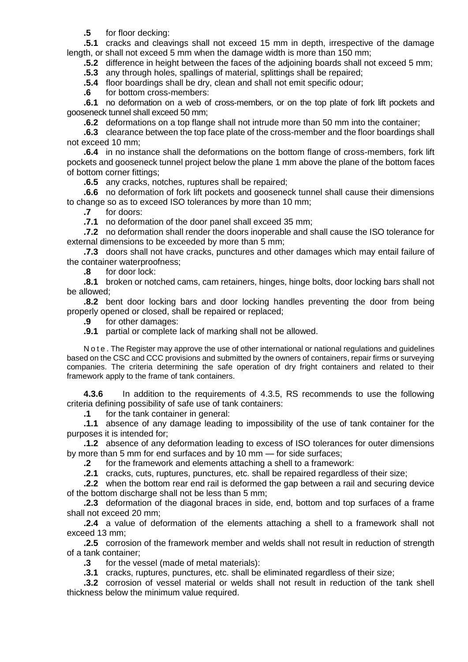**.5** for floor decking:

**.5.1** cracks and cleavings shall not exceed 15 mm in depth, irrespective of the damage length, or shall not exceed 5 mm when the damage width is more than 150 mm;

**.5.2** difference in height between the faces of the adjoining boards shall not exceed 5 mm;

**.5.3** any through holes, spallings of material, splittings shall be repaired;

**.5.4** floor boardings shall be dry, clean and shall not emit specific odour;

**.6** for bottom cross-members:

**.6.1** no deformation on a web of cross-members, or on the top plate of fork lift pockets and gooseneck tunnel shall exceed 50 mm;

**.6.2** deformations on a top flange shall not intrude more than 50 mm into the container;

**.6.3** clearance between the top face plate of the cross-member and the floor boardings shall not exceed 10 mm;

**.6.4** in no instance shall the deformations on the bottom flange of cross-members, fork lift pockets and gooseneck tunnel project below the plane 1 mm above the plane of the bottom faces of bottom corner fittings;

**.6.5** any cracks, notches, ruptures shall be repaired;

**.6.6** no deformation of fork lift pockets and gooseneck tunnel shall cause their dimensions to change so as to exceed ISO tolerances by more than 10 mm;

**.7** for doors:

**.7.1** no deformation of the door panel shall exceed 35 mm;

**.7.2** no deformation shall render the doors inoperable and shall cause the ISO tolerance for external dimensions to be exceeded by more than 5 mm;

**.7.3** doors shall not have cracks, punctures and other damages which may entail failure of the container waterproofness;

**.8** for door lock:

**.8.1** broken or notched cams, cam retainers, hinges, hinge bolts, door locking bars shall not be allowed;

**.8.2** bent door locking bars and door locking handles preventing the door from being properly opened or closed, shall be repaired or replaced;

**.9** for other damages:

**.9.1** partial or complete lack of marking shall not be allowed.

N o t e . The Register may approve the use of other international or national regulations and guidelines based on the CSC and CCC provisions and submitted by the owners of containers, repair firms or surveying companies. The criteria determining the safe operation of dry fright containers and related to their framework apply to the frame of tank containers.

**4.3.6** In addition to the requirements of 4.3.5, RS recommends to use the following criteria defining possibility of safe use of tank containers:

**.1** for the tank container in general:

**.1.1** absence of any damage leading to impossibility of the use of tank container for the purposes it is intended for;

**.1.2** absence of any deformation leading to excess of ISO tolerances for outer dimensions by more than 5 mm for end surfaces and by 10 mm — for side surfaces;

**.2** for the framework and elements attaching a shell to a framework:

**.2.1** cracks, cuts, ruptures, punctures, etc. shall be repaired regardless of their size;

**.2.2** when the bottom rear end rail is deformed the gap between a rail and securing device of the bottom discharge shall not be less than 5 mm;

**.2.3** deformation of the diagonal braces in side, end, bottom and top surfaces of a frame shall not exceed 20 mm;

**.2.4** a value of deformation of the elements attaching a shell to a framework shall not exceed 13 mm;

**.2.5** corrosion of the framework member and welds shall not result in reduction of strength of a tank container;

**.3** for the vessel (made of metal materials):

**.3.1** cracks, ruptures, punctures, etc. shall be eliminated regardless of their size;

**.3.2** corrosion of vessel material or welds shall not result in reduction of the tank shell thickness below the minimum value required.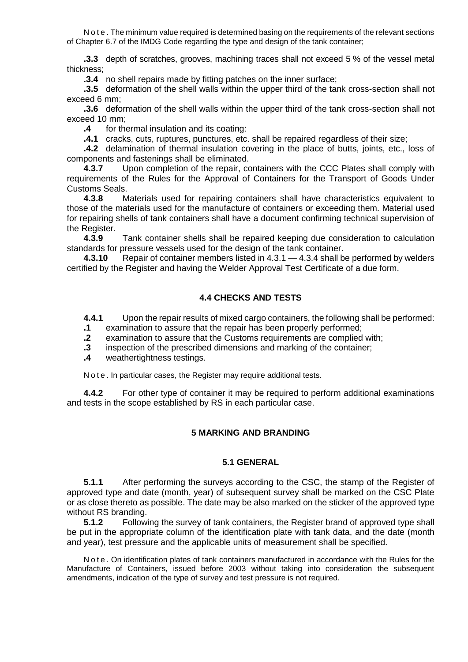N o t e . The minimum value required is determined basing on the requirements of the relevant sections of Chapter 6.7 of the IMDG Code regarding the type and design of the tank container;

**.3.3** depth of scratches, grooves, machining traces shall not exceed 5 % of the vessel metal thickness;

**.3.4** no shell repairs made by fitting patches on the inner surface;

**.3.5** deformation of the shell walls within the upper third of the tank cross-section shall not exceed 6 mm;

**.3.6** deformation of the shell walls within the upper third of the tank cross-section shall not exceed 10 mm;

**.4** for thermal insulation and its coating:

**.4.1** cracks, cuts, ruptures, punctures, etc. shall be repaired regardless of their size;

**.4.2** delamination of thermal insulation covering in the place of butts, joints, etc., loss of components and fastenings shall be eliminated.

**4.3.7** Upon completion of the repair, containers with the CCC Plates shall comply with requirements of the Rules for the Approval of Containers for the Transport of Goods Under Customs Seals.

**4.3.8** Materials used for repairing containers shall have characteristics equivalent to those of the materials used for the manufacture of containers or exceeding them. Material used for repairing shells of tank containers shall have a document confirming technical supervision of the Register.<br>4.3.9

**4.3.9** Tank container shells shall be repaired keeping due consideration to calculation standards for pressure vessels used for the design of the tank container.

**4.3.10** Repair of container members listed in 4.3.1 — 4.3.4 shall be performed by welders certified by the Register and having the Welder Approval Test Certificate of a due form.

#### **4.4 CHECKS AND TESTS**

**4.4.1** Upon the repair results of mixed cargo containers, the following shall be performed: **.1** examination to assure that the repair has been properly performed;

**.2** examination to assure that the Customs requirements are complied with;

- **.3** inspection of the prescribed dimensions and marking of the container;
- **.4** weathertightness testings.

N o t e . In particular cases, the Register may require additional tests.

**4.4.2** For other type of container it may be required to perform additional examinations and tests in the scope established by RS in each particular case.

#### **5 MARKING AND BRANDING**

#### **5.1 GENERAL**

**5.1.1** After performing the surveys according to the CSC, the stamp of the Register of approved type and date (month, year) of subsequent survey shall be marked on the CSC Plate or as close thereto as possible. The date may be also marked on the sticker of the approved type without RS branding.

**5.1.2** Following the survey of tank containers, the Register brand of approved type shall be put in the appropriate column of the identification plate with tank data, and the date (month and year), test pressure and the applicable units of measurement shall be specified.

N o t e . On identification plates of tank containers manufactured in accordance with the Rules for the Manufacture of Containers, issued before 2003 without taking into consideration the subsequent amendments, indication of the type of survey and test pressure is not required.